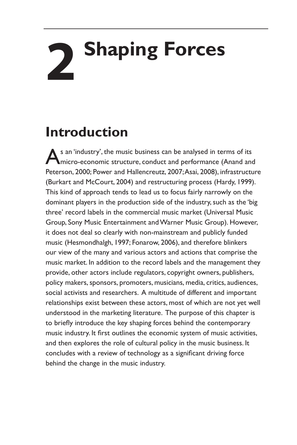## **2 Shaping Forces**

## **Introduction**

As an 'industry', the music business can be analysed in terms of its<br>
micro-economic structure, conduct and performance (Anand and Peterson, 2000; Power and Hallencreutz, 2007; Asai, 2008), infrastructure (Burkart and McCourt, 2004) and restructuring process (Hardy, 1999). This kind of approach tends to lead us to focus fairly narrowly on the dominant players in the production side of the industry, such as the 'big three' record labels in the commercial music market (Universal Music Group, Sony Music Entertainment and Warner Music Group). However, it does not deal so clearly with non-mainstream and publicly funded music (Hesmondhalgh, 1997; Fonarow, 2006), and therefore blinkers our view of the many and various actors and actions that comprise the music market. In addition to the record labels and the management they provide, other actors include regulators, copyright owners, publishers, policy makers, sponsors, promoters, musicians, media, critics, audiences, social activists and researchers. A multitude of different and important relationships exist between these actors, most of which are not yet well understood in the marketing literature. The purpose of this chapter is to briefly introduce the key shaping forces behind the contemporary music industry. It first outlines the economic system of music activities, and then explores the role of cultural policy in the music business. It concludes with a review of technology as a significant driving force behind the change in the music industry.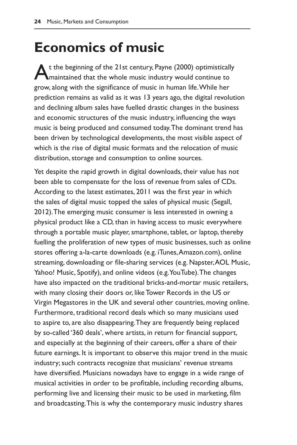## **Economics of music**

At the beginning of the 21st century, Payne (2000) optimistically<br>
maintained that the whole music industry would continue to grow, along with the significance of music in human life. While her prediction remains as valid as it was 13 years ago, the digital revolution and declining album sales have fuelled drastic changes in the business and economic structures of the music industry, influencing the ways music is being produced and consumed today. The dominant trend has been driven by technological developments, the most visible aspect of which is the rise of digital music formats and the relocation of music distribution, storage and consumption to online sources.

Yet despite the rapid growth in digital downloads, their value has not been able to compensate for the loss of revenue from sales of CDs. According to the latest estimates, 2011 was the first year in which the sales of digital music topped the sales of physical music (Segall, 2012).The emerging music consumer is less interested in owning a physical product like a CD, than in having access to music everywhere through a portable music player, smartphone, tablet, or laptop, thereby fuelling the proliferation of new types of music businesses, such as online stores offering a-la-carte downloads (e.g. iTunes, Amazon.com), online streaming, downloading or file-sharing services (e.g. Napster, AOL Music, Yahoo! Music, Spotify), and online videos (e.g. YouTube). The changes have also impacted on the traditional bricks-and-mortar music retailers, with many closing their doors or, like Tower Records in the US or Virgin Megastores in the UK and several other countries, moving online. Furthermore, traditional record deals which so many musicians used to aspire to, are also disappearing. They are frequently being replaced by so-called '360 deals', where artists, in return for financial support, and especially at the beginning of their careers, offer a share of their future earnings. It is important to observe this major trend in the music industry; such contracts recognize that musicians' revenue streams have diversified. Musicians nowadays have to engage in a wide range of musical activities in order to be profitable, including recording albums, performing live and licensing their music to be used in marketing, film and broadcasting. This is why the contemporary music industry shares